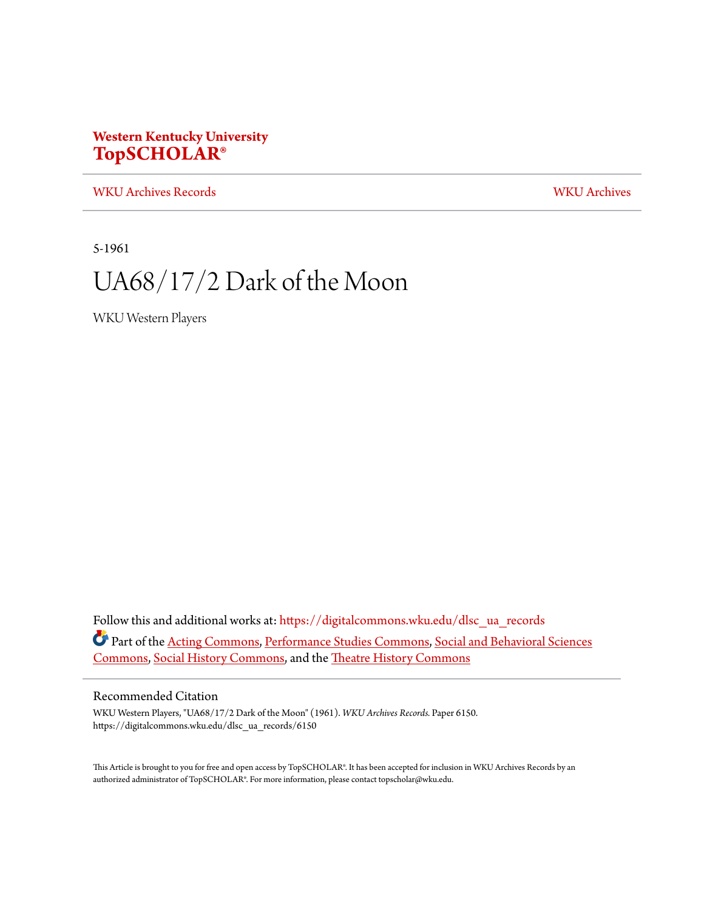# **Western Kentucky University [TopSCHOLAR®](https://digitalcommons.wku.edu?utm_source=digitalcommons.wku.edu%2Fdlsc_ua_records%2F6150&utm_medium=PDF&utm_campaign=PDFCoverPages)**

[WKU Archives Records](https://digitalcommons.wku.edu/dlsc_ua_records?utm_source=digitalcommons.wku.edu%2Fdlsc_ua_records%2F6150&utm_medium=PDF&utm_campaign=PDFCoverPages) [WKU Archives](https://digitalcommons.wku.edu/dlsc_ua?utm_source=digitalcommons.wku.edu%2Fdlsc_ua_records%2F6150&utm_medium=PDF&utm_campaign=PDFCoverPages)

5-1961

# UA68/17/2 Dark of the Moon

WKU Western Players

Follow this and additional works at: [https://digitalcommons.wku.edu/dlsc\\_ua\\_records](https://digitalcommons.wku.edu/dlsc_ua_records?utm_source=digitalcommons.wku.edu%2Fdlsc_ua_records%2F6150&utm_medium=PDF&utm_campaign=PDFCoverPages) Part of the [Acting Commons,](http://network.bepress.com/hgg/discipline/1145?utm_source=digitalcommons.wku.edu%2Fdlsc_ua_records%2F6150&utm_medium=PDF&utm_campaign=PDFCoverPages) [Performance Studies Commons,](http://network.bepress.com/hgg/discipline/556?utm_source=digitalcommons.wku.edu%2Fdlsc_ua_records%2F6150&utm_medium=PDF&utm_campaign=PDFCoverPages) [Social and Behavioral Sciences](http://network.bepress.com/hgg/discipline/316?utm_source=digitalcommons.wku.edu%2Fdlsc_ua_records%2F6150&utm_medium=PDF&utm_campaign=PDFCoverPages) [Commons,](http://network.bepress.com/hgg/discipline/316?utm_source=digitalcommons.wku.edu%2Fdlsc_ua_records%2F6150&utm_medium=PDF&utm_campaign=PDFCoverPages) [Social History Commons,](http://network.bepress.com/hgg/discipline/506?utm_source=digitalcommons.wku.edu%2Fdlsc_ua_records%2F6150&utm_medium=PDF&utm_campaign=PDFCoverPages) and the [Theatre History Commons](http://network.bepress.com/hgg/discipline/553?utm_source=digitalcommons.wku.edu%2Fdlsc_ua_records%2F6150&utm_medium=PDF&utm_campaign=PDFCoverPages)

## Recommended Citation

WKU Western Players, "UA68/17/2 Dark of the Moon" (1961). *WKU Archives Records.* Paper 6150. https://digitalcommons.wku.edu/dlsc\_ua\_records/6150

This Article is brought to you for free and open access by TopSCHOLAR®. It has been accepted for inclusion in WKU Archives Records by an authorized administrator of TopSCHOLAR®. For more information, please contact topscholar@wku.edu.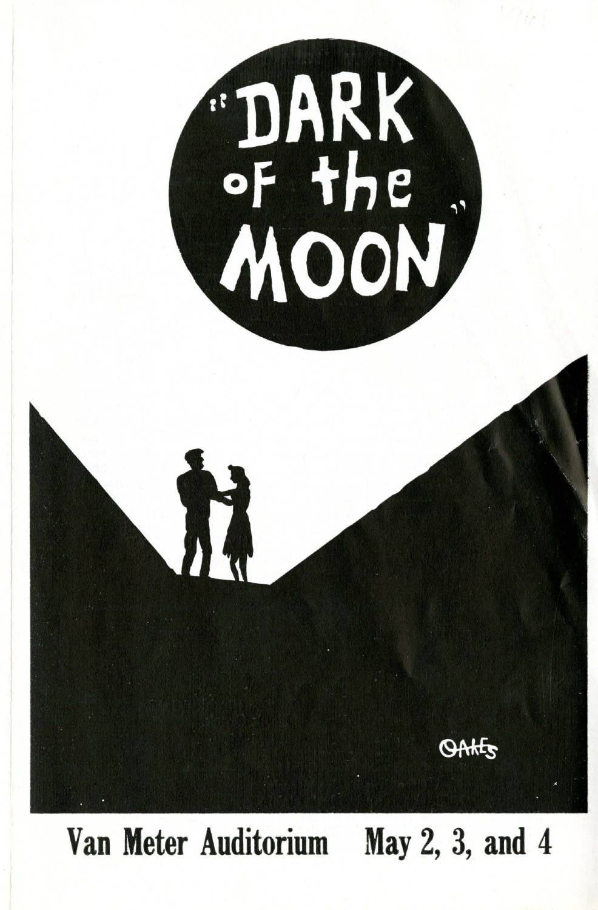

**Van Meter Auditorium May** 2, 3, **and 4**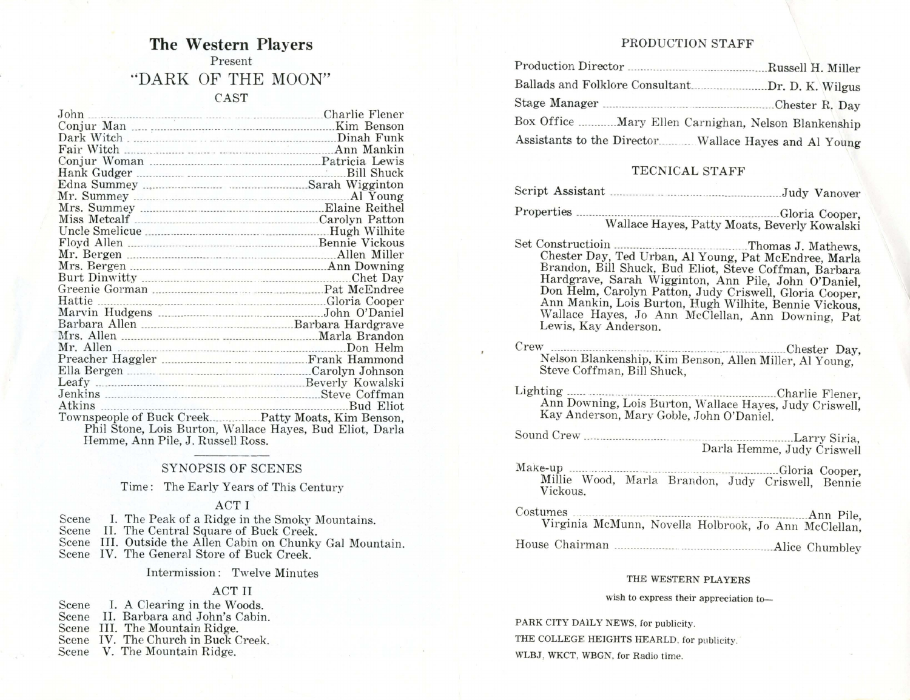# **The Western Players**  Present ·'DARK OF THE MOON" CAST

| John                                       | Charlie Flener    |
|--------------------------------------------|-------------------|
|                                            |                   |
|                                            |                   |
|                                            | Ann Mankin        |
|                                            |                   |
|                                            | <b>Bill Shuck</b> |
|                                            |                   |
|                                            | Al Young          |
|                                            |                   |
|                                            |                   |
|                                            | Hugh Wilhite      |
|                                            |                   |
|                                            |                   |
|                                            |                   |
|                                            | Chet Day          |
|                                            |                   |
| Hattie Cooper                              |                   |
|                                            | John O'Daniel     |
|                                            |                   |
|                                            | Marla Brandon     |
|                                            | Don Helm          |
|                                            |                   |
|                                            |                   |
|                                            |                   |
|                                            | Steve Coffman     |
| Atkins<br>and the company's company's com- | Bud Eliot         |
|                                            |                   |

Phil Stone, Lois Burton, Wallace Hayes, Bud Eliot, Darla Hemme, Ann Pile, J. Russell Ross.

#### SYNOPSIS OF SCENES

## Time: The Early Years of This Century

#### ACT I

| Scene |  |  |  |  | 1. The Peak of a Ridge in the Smoky Mountains. |
|-------|--|--|--|--|------------------------------------------------|
|       |  |  |  |  |                                                |

Scene

Scene I. The Peak of a Ridge in the Smoky Mountains.<br>Scene II. The Central Square of Buck Creek.<br>Scene III. Outside the Allen Cabin on Chunky Gal Mountain.

Scene IV. The General Store of Buck Creek.

Intermission: Twelve Minutes

### ACT II

| Scene | I. A Clearing in the Woods.         |
|-------|-------------------------------------|
|       | Scene II. Barbara and John's Cabin. |
|       | Scene III. The Mountain Ridge.      |

Scene IV. The Church in Buck Creek.

Scene V. The Mountain Ridge.

#### PRODUCTION STAFF

| Production Director                                   | Russell H. Miller |
|-------------------------------------------------------|-------------------|
| Ballads and Folklore Consultant                       | .Dr. D. K. Wilgus |
|                                                       |                   |
| Box Office  Mary Ellen Carnighan, Nelson Blankenship  |                   |
| Assistants to the Director Wallace Hayes and Al Young |                   |

## TECNICAL STAFF

|--|--|

Properties ---------- \_\_ \_\_\_\_\_ \_\_\_ \_\_\_\_\_\_\_\_\_\_\_\_\_ \_\_\_\_ . \_\_ . \_\_\_\_\_\_\_ \_\_\_\_ \_\_\_ \_\_\_\_\_\_\_\_ \_ Gloria Cooper, Wallace Hayes, Patty Moats, Beverly Kowalski

- Set Constructioin ------------ ------.. ---------- \_\_\_\_ . \_\_\_ Thomas J. Mathews, Chester Day, Ted Urban, Al Young, Pat McEndree, Marla Brandon, Bill Shuck, Bud Eliot, Steve Coffman, Barbara Hardgrave, Sarah Wigginton, Ann Pile, John O'Daniel, Don Helm, Carolyn Patton, Judy Criswell, Gloria Cooper, Ann Mankin, Lois Burton, Hugh Wilhite, Bennie Vickous, Wallace Hayes, Jo Ann McClellan, Ann Downing, Pat Lewis, Kay Anderson.
- Crew ------------------------ -\_\_\_\_\_\_\_\_\_ \_\_ .\_\_\_\_ . \_\_\_\_\_ . \_\_\_\_\_\_\_\_\_\_\_\_\_\_\_\_\_\_ \_\_ \_\_\_\_ Chester Day, Nelson Blankenship, Kim Benson, Allen Miller, Al Young, Steve Coffman, Bill Shuck,
- Lighting ------ ------ \_\_\_ ·------------------- ---.------------ \_\_\_\_\_ \_\_\_\_ Charlie Flener, Ann Downing, Lois Burton, Wallace Hayes, Judy Criswell, Kay Anderson, Mary Goble, John O'Daniel.

Sound Crew --------------- \_\_\_\_\_\_\_\_ \_\_\_ \_\_ \_\_ \_\_ .\_\_\_\_ \_\_\_ \_\_\_\_\_ \_\_\_\_\_\_\_\_\_ -- \_\_\_\_\_\_\_ \_ Larry Siria, Darla Hemme, Judy Criswell

Make-up ------ -.---------- ---\_ \_\_\_\_\_\_\_ \_ \_\_\_\_\_ \_\_\_\_\_\_\_\_\_ \_\_ \_\_ \_\_\_\_\_\_\_\_\_ . Gloria Cooper, Millie Wood, Marla Brandon, Judy Criswell, Bennie Vickous.

Costumes -------------.-----.-------------- \_\_\_\_ \_\_ \_\_\_\_\_ \_\_\_\_\_\_\_\_ .-------- \_\_\_\_\_\_\_\_\_\_\_\_ Ann Pile, Virginia McMunn, Novell a Holbrook, Jo Ann McClellan,

House Chairman -----------.--- \_\_ \_\_ --- ---------- ------------ \_\_\_\_ Alice Chumbley

#### THE WESTERN PLAYERS

#### wish to express their appreciation to-

PARK CITY DAlLY NEWS, for publicity.

THE COLLEGE HEIGHTS HEARLD. for publicity.

WLBJ, WKCT, WBGN, for Radio time.